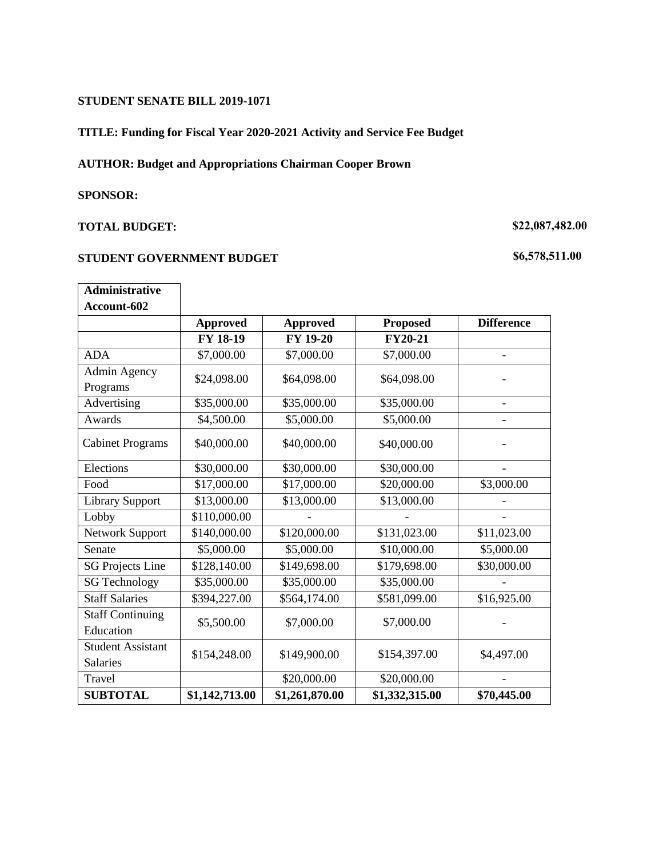#### **STUDENT SENATE BILL 2019-1071**

### **TITLE: Funding for Fiscal Year 2020-2021 Activity and Service Fee Budget**

## **AUTHOR: Budget and Appropriations Chairman Cooper Brown**

#### **SPONSOR:**

### **TOTAL BUDGET:**

#### **STUDENT GOVERNMENT BUDGET**

# **\$22,087,482.00**

## **\$6,578,511.00**

| <b>Administrative</b>    |                 |                 |                 |                          |
|--------------------------|-----------------|-----------------|-----------------|--------------------------|
| Account-602              |                 |                 |                 |                          |
|                          | <b>Approved</b> | <b>Approved</b> | <b>Proposed</b> | <b>Difference</b>        |
|                          | FY 18-19        | <b>FY 19-20</b> | <b>FY20-21</b>  |                          |
| <b>ADA</b>               | \$7,000.00      | \$7,000.00      | \$7,000.00      | $\overline{\phantom{0}}$ |
| Admin Agency<br>Programs | \$24,098.00     | \$64,098.00     | \$64,098.00     |                          |
| Advertising              | \$35,000.00     | \$35,000.00     | \$35,000.00     | $\overline{a}$           |
| Awards                   | \$4,500.00      | \$5,000.00      | \$5,000.00      |                          |
| <b>Cabinet Programs</b>  | \$40,000.00     | \$40,000.00     | \$40,000.00     |                          |
| Elections                | \$30,000.00     | \$30,000.00     | \$30,000.00     |                          |
| Food                     | \$17,000.00     | \$17,000.00     | \$20,000.00     | \$3,000.00               |
| <b>Library Support</b>   | \$13,000.00     | \$13,000.00     | \$13,000.00     |                          |
| Lobby                    | \$110,000.00    |                 |                 |                          |
| Network Support          | \$140,000.00    | \$120,000.00    | \$131,023.00    | \$11,023.00              |
| Senate                   | \$5,000.00      | \$5,000.00      | \$10,000.00     | \$5,000.00               |
| <b>SG Projects Line</b>  | \$128,140.00    | \$149,698.00    | \$179,698.00    | \$30,000.00              |
| <b>SG Technology</b>     | \$35,000.00     | \$35,000.00     | \$35,000.00     |                          |
| <b>Staff Salaries</b>    | \$394,227.00    | \$564,174.00    | \$581,099.00    | \$16,925.00              |
| <b>Staff Continuing</b>  | \$5,500.00      | \$7,000.00      | \$7,000.00      |                          |
| Education                |                 |                 |                 |                          |
| <b>Student Assistant</b> | \$154,248.00    | \$149,900.00    | \$154,397.00    | \$4,497.00               |
| <b>Salaries</b>          |                 |                 |                 |                          |
| Travel                   |                 | \$20,000.00     | \$20,000.00     |                          |
| <b>SUBTOTAL</b>          | \$1,142,713.00  | \$1,261,870.00  | \$1,332,315.00  | \$70,445.00              |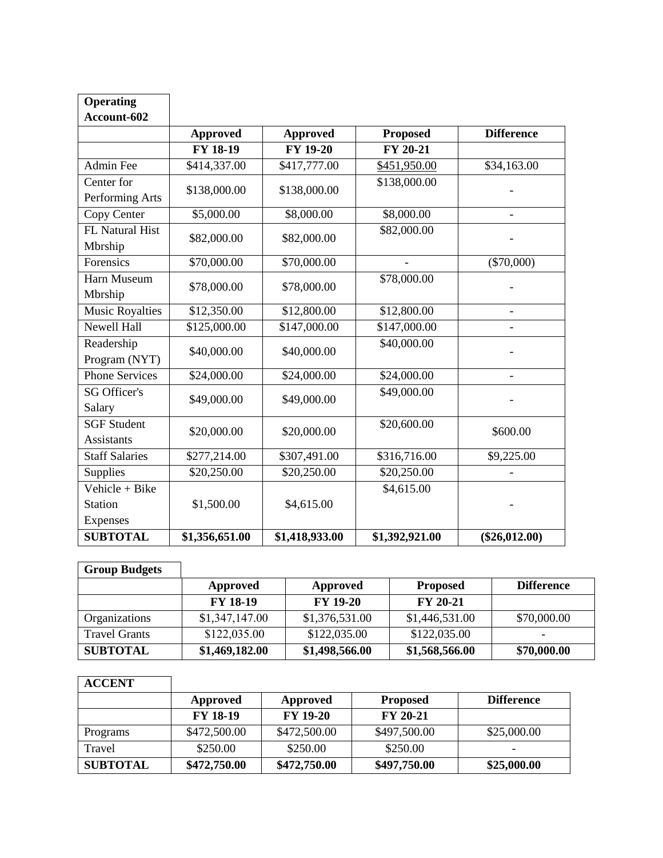| <b>Operating</b>       |                 |                 |                 |                          |
|------------------------|-----------------|-----------------|-----------------|--------------------------|
| Account-602            |                 |                 |                 |                          |
|                        | <b>Approved</b> | <b>Approved</b> | <b>Proposed</b> | <b>Difference</b>        |
|                        | FY 18-19        | FY 19-20        | FY 20-21        |                          |
| <b>Admin Fee</b>       | \$414,337.00    | \$417,777.00    | \$451,950.00    | \$34,163.00              |
| Center for             | \$138,000.00    | \$138,000.00    | \$138,000.00    |                          |
| Performing Arts        |                 |                 |                 |                          |
| Copy Center            | \$5,000.00      | \$8,000.00      | \$8,000.00      | $\overline{a}$           |
| FL Natural Hist        | \$82,000.00     | \$82,000.00     | \$82,000.00     |                          |
| Mbrship                |                 |                 |                 |                          |
| Forensics              | \$70,000.00     | \$70,000.00     |                 | $(\$70,000)$             |
| Harn Museum            | \$78,000.00     | \$78,000.00     | \$78,000.00     |                          |
| Mbrship                |                 |                 |                 |                          |
| <b>Music Royalties</b> | \$12,350.00     | \$12,800.00     | \$12,800.00     | L,                       |
| Newell Hall            | \$125,000.00    | \$147,000.00    | \$147,000.00    | $\overline{\phantom{0}}$ |
| Readership             | \$40,000.00     | \$40,000.00     | \$40,000.00     | $\overline{a}$           |
| Program (NYT)          |                 |                 |                 |                          |
| <b>Phone Services</b>  | \$24,000.00     | \$24,000.00     | \$24,000.00     | $\overline{\phantom{0}}$ |
| <b>SG Officer's</b>    | \$49,000.00     | \$49,000.00     | \$49,000.00     |                          |
| Salary                 |                 |                 |                 |                          |
| <b>SGF Student</b>     | \$20,000.00     | \$20,000.00     | \$20,600.00     | \$600.00                 |
| <b>Assistants</b>      |                 |                 |                 |                          |
| <b>Staff Salaries</b>  | \$277,214.00    | \$307,491.00    | \$316,716.00    | \$9,225.00               |
| Supplies               | \$20,250.00     | \$20,250.00     | \$20,250.00     |                          |
| Vehicle + Bike         |                 |                 | \$4,615.00      |                          |
| <b>Station</b>         | \$1,500.00      | \$4,615.00      |                 |                          |
| Expenses               |                 |                 |                 |                          |
| <b>SUBTOTAL</b>        | \$1,356,651.00  | \$1,418,933.00  | \$1,392,921.00  | $(\$26,012.00)$          |

## **Group Budgets**

|                      | Approved        | Approved        | <b>Proposed</b> | <b>Difference</b> |
|----------------------|-----------------|-----------------|-----------------|-------------------|
|                      | <b>FY 18-19</b> | <b>FY 19-20</b> | <b>FY 20-21</b> |                   |
| Organizations        | \$1,347,147.00  | \$1,376,531.00  | \$1,446,531.00  | \$70,000.00       |
| <b>Travel Grants</b> | \$122,035.00    | \$122,035.00    | \$122,035.00    |                   |
| <b>SUBTOTAL</b>      | \$1,469,182.00  | \$1,498,566.00  | \$1,568,566.00  | \$70,000.00       |

# **ACCENT**

|                 | Approved        | Approved        | <b>Proposed</b> | <b>Difference</b> |
|-----------------|-----------------|-----------------|-----------------|-------------------|
|                 | <b>FY 18-19</b> | <b>FY 19-20</b> | <b>FY 20-21</b> |                   |
| Programs        | \$472,500.00    | \$472,500.00    | \$497,500.00    | \$25,000.00       |
| Travel          | \$250.00        | \$250.00        | \$250.00        |                   |
| <b>SUBTOTAL</b> | \$472,750.00    | \$472,750.00    | \$497,750.00    | \$25,000.00       |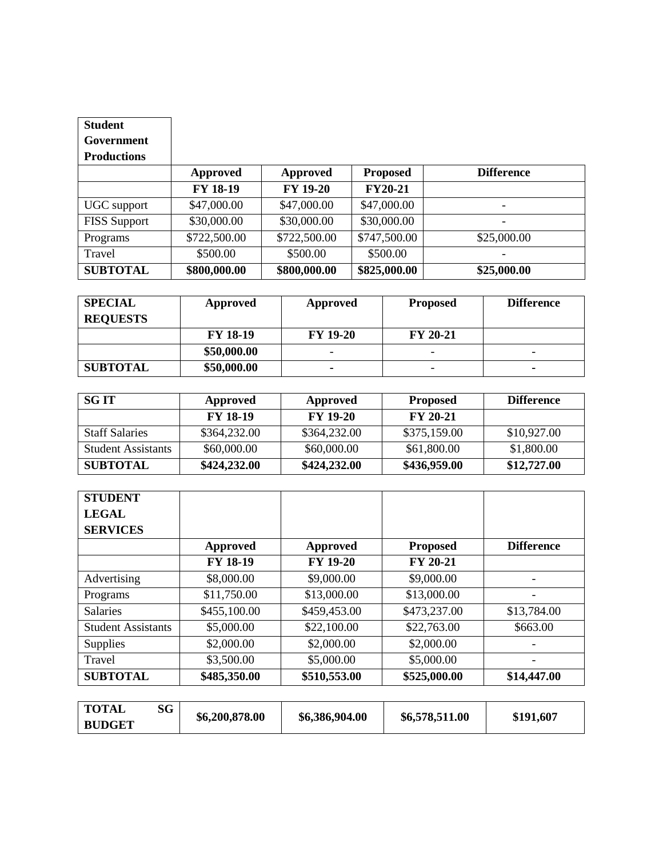| <b>Student</b>      |                 |                 |                 |                   |
|---------------------|-----------------|-----------------|-----------------|-------------------|
| Government          |                 |                 |                 |                   |
| <b>Productions</b>  |                 |                 |                 |                   |
|                     | <b>Approved</b> | <b>Approved</b> | <b>Proposed</b> | <b>Difference</b> |
|                     | FY 18-19        | <b>FY 19-20</b> | <b>FY20-21</b>  |                   |
| UGC support         | \$47,000.00     | \$47,000.00     | \$47,000.00     |                   |
| <b>FISS Support</b> | \$30,000.00     | \$30,000.00     | \$30,000.00     |                   |
| Programs            | \$722,500.00    | \$722,500.00    | \$747,500.00    | \$25,000.00       |
| Travel              | \$500.00        | \$500.00        | \$500.00        |                   |
| <b>SUBTOTAL</b>     | \$800,000.00    | \$800,000.00    | \$825,000.00    | \$25,000.00       |

| <b>SPECIAL</b>  | Approved        | Approved                 | <b>Proposed</b>          | <b>Difference</b> |
|-----------------|-----------------|--------------------------|--------------------------|-------------------|
| <b>REQUESTS</b> |                 |                          |                          |                   |
|                 | <b>FY 18-19</b> | <b>FY 19-20</b>          | <b>FY 20-21</b>          |                   |
|                 | \$50,000.00     | $\overline{\phantom{0}}$ | $\overline{\phantom{0}}$ | -                 |
| <b>SUBTOTAL</b> | \$50,000.00     | $\blacksquare$           | -                        | ۰                 |

| <b>SG IT</b>              | Approved        | Approved        | <b>Proposed</b> | <b>Difference</b> |
|---------------------------|-----------------|-----------------|-----------------|-------------------|
|                           | <b>FY 18-19</b> | <b>FY 19-20</b> | $FY$ 20-21      |                   |
| <b>Staff Salaries</b>     | \$364,232.00    | \$364,232.00    | \$375,159.00    | \$10,927.00       |
| <b>Student Assistants</b> | \$60,000.00     | \$60,000.00     | \$61,800.00     | \$1,800.00        |
| <b>SUBTOTAL</b>           | \$424,232.00    | \$424,232.00    | \$436,959.00    | \$12,727.00       |

| <b>STUDENT</b>            |                 |                 |                 |                   |
|---------------------------|-----------------|-----------------|-----------------|-------------------|
| <b>LEGAL</b>              |                 |                 |                 |                   |
| <b>SERVICES</b>           |                 |                 |                 |                   |
|                           | <b>Approved</b> | <b>Approved</b> | <b>Proposed</b> | <b>Difference</b> |
|                           | FY 18-19        | <b>FY 19-20</b> | FY 20-21        |                   |
| Advertising               | \$8,000.00      | \$9,000.00      | \$9,000.00      |                   |
| Programs                  | \$11,750.00     | \$13,000.00     | \$13,000.00     |                   |
| <b>Salaries</b>           | \$455,100.00    | \$459,453.00    | \$473,237.00    | \$13,784.00       |
| <b>Student Assistants</b> | \$5,000.00      | \$22,100.00     | \$22,763.00     | \$663.00          |
| <b>Supplies</b>           | \$2,000.00      | \$2,000.00      | \$2,000.00      |                   |
| Travel                    | \$3,500.00      | \$5,000.00      | \$5,000.00      |                   |
| <b>SUBTOTAL</b>           | \$485,350.00    | \$510,553.00    | \$525,000.00    | \$14,447.00       |
|                           |                 |                 |                 |                   |
| $\sim$<br><b>TOTAL</b>    |                 |                 |                 |                   |

| <b>TOTAL</b>  | SG | \$6,200,878.00 | \$6,386,904.00 | \$6,578,511.00 | \$191,607 |
|---------------|----|----------------|----------------|----------------|-----------|
| <b>BUDGET</b> |    |                |                |                |           |
|               |    |                |                |                |           |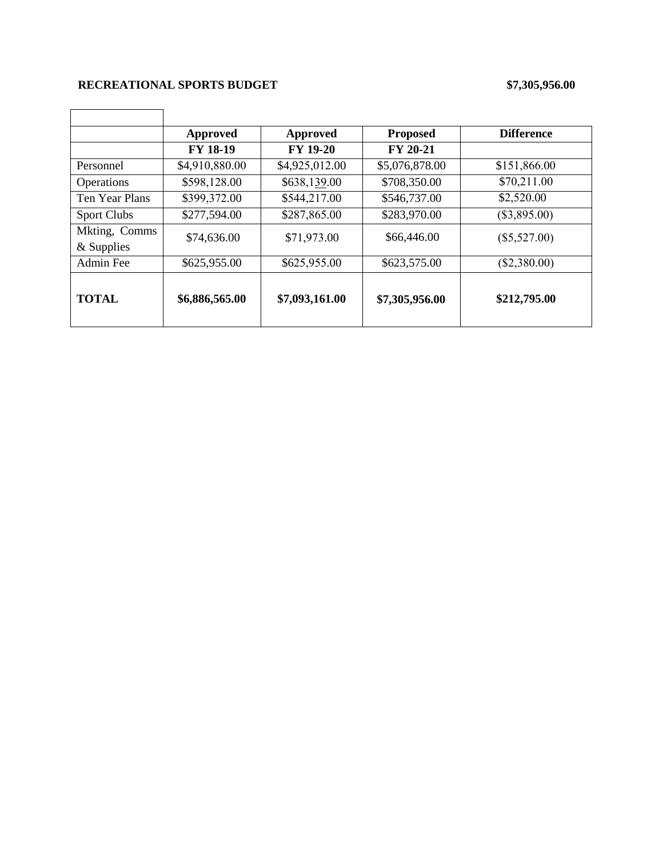## **RECREATIONAL SPORTS BUDGET \$7,305,956.00**

|                    | <b>Approved</b> | <b>Approved</b> | <b>Proposed</b> | <b>Difference</b> |
|--------------------|-----------------|-----------------|-----------------|-------------------|
|                    | <b>FY 18-19</b> | <b>FY 19-20</b> | <b>FY 20-21</b> |                   |
| Personnel          | \$4,910,880.00  | \$4,925,012.00  | \$5,076,878.00  | \$151,866.00      |
| Operations         | \$598,128.00    | \$638,139.00    | \$708,350.00    | \$70,211.00       |
| Ten Year Plans     | \$399,372.00    | \$544,217.00    | \$546,737.00    | \$2,520.00        |
| <b>Sport Clubs</b> | \$277,594.00    | \$287,865.00    | \$283,970.00    | $(\$3,895.00)$    |
| Mkting, Comms      | \$74,636.00     | \$71,973.00     | \$66,446.00     | $(\$5,527.00)$    |
| $&$ Supplies       |                 |                 |                 |                   |
| Admin Fee          | \$625,955.00    | \$625,955.00    | \$623,575.00    | (\$2,380.00)      |
| <b>TOTAL</b>       | \$6,886,565.00  | \$7,093,161.00  | \$7,305,956.00  | \$212,795.00      |